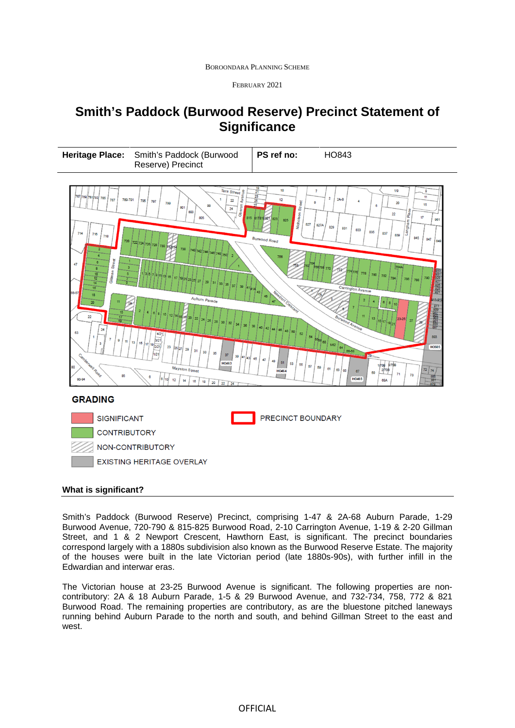BOROONDARA PLANNING SCHEME

FEBRUARY 2021

## **Smith's Paddock (Burwood Reserve) Precinct Statement of Significance**





## **What is significant?**

Smith's Paddock (Burwood Reserve) Precinct, comprising 1-47 & 2A-68 Auburn Parade, 1-29 Burwood Avenue, 720-790 & 815-825 Burwood Road, 2-10 Carrington Avenue, 1-19 & 2-20 Gillman Street, and 1 & 2 Newport Crescent, Hawthorn East, is significant. The precinct boundaries correspond largely with a 1880s subdivision also known as the Burwood Reserve Estate. The majority of the houses were built in the late Victorian period (late 1880s-90s), with further infill in the Edwardian and interwar eras.

The Victorian house at 23-25 Burwood Avenue is significant. The following properties are noncontributory: 2A & 18 Auburn Parade, 1-5 & 29 Burwood Avenue, and 732-734, 758, 772 & 821 Burwood Road. The remaining properties are contributory, as are the bluestone pitched laneways running behind Auburn Parade to the north and south, and behind Gillman Street to the east and west.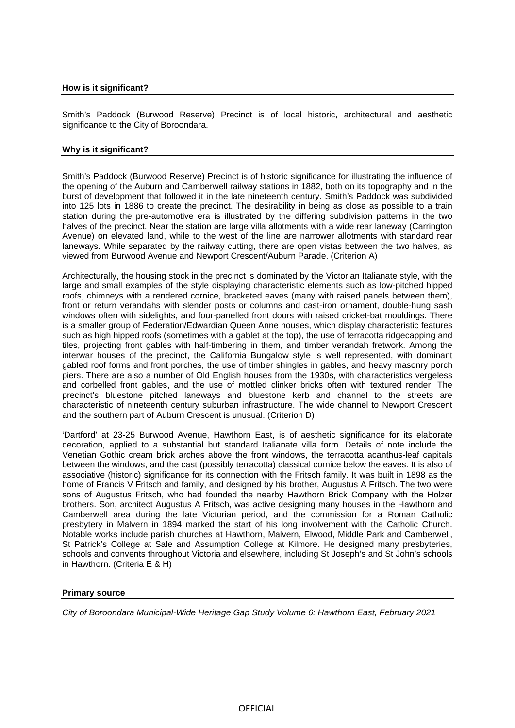Smith's Paddock (Burwood Reserve) Precinct is of local historic, architectural and aesthetic significance to the City of Boroondara.

## **Why is it significant?**

Smith's Paddock (Burwood Reserve) Precinct is of historic significance for illustrating the influence of the opening of the Auburn and Camberwell railway stations in 1882, both on its topography and in the burst of development that followed it in the late nineteenth century. Smith's Paddock was subdivided into 125 lots in 1886 to create the precinct. The desirability in being as close as possible to a train station during the pre-automotive era is illustrated by the differing subdivision patterns in the two halves of the precinct. Near the station are large villa allotments with a wide rear laneway (Carrington Avenue) on elevated land, while to the west of the line are narrower allotments with standard rear laneways. While separated by the railway cutting, there are open vistas between the two halves, as viewed from Burwood Avenue and Newport Crescent/Auburn Parade. (Criterion A)

Architecturally, the housing stock in the precinct is dominated by the Victorian Italianate style, with the large and small examples of the style displaying characteristic elements such as low-pitched hipped roofs, chimneys with a rendered cornice, bracketed eaves (many with raised panels between them), front or return verandahs with slender posts or columns and cast-iron ornament, double-hung sash windows often with sidelights, and four-panelled front doors with raised cricket-bat mouldings. There is a smaller group of Federation/Edwardian Queen Anne houses, which display characteristic features such as high hipped roofs (sometimes with a gablet at the top), the use of terracotta ridgecapping and tiles, projecting front gables with half-timbering in them, and timber verandah fretwork. Among the interwar houses of the precinct, the California Bungalow style is well represented, with dominant gabled roof forms and front porches, the use of timber shingles in gables, and heavy masonry porch piers. There are also a number of Old English houses from the 1930s, with characteristics vergeless and corbelled front gables, and the use of mottled clinker bricks often with textured render. The precinct's bluestone pitched laneways and bluestone kerb and channel to the streets are characteristic of nineteenth century suburban infrastructure. The wide channel to Newport Crescent and the southern part of Auburn Crescent is unusual. (Criterion D)

'Dartford' at 23-25 Burwood Avenue, Hawthorn East, is of aesthetic significance for its elaborate decoration, applied to a substantial but standard Italianate villa form. Details of note include the Venetian Gothic cream brick arches above the front windows, the terracotta acanthus-leaf capitals between the windows, and the cast (possibly terracotta) classical cornice below the eaves. It is also of associative (historic) significance for its connection with the Fritsch family. It was built in 1898 as the home of Francis V Fritsch and family, and designed by his brother, Augustus A Fritsch. The two were sons of Augustus Fritsch, who had founded the nearby Hawthorn Brick Company with the Holzer brothers. Son, architect Augustus A Fritsch, was active designing many houses in the Hawthorn and Camberwell area during the late Victorian period, and the commission for a Roman Catholic presbytery in Malvern in 1894 marked the start of his long involvement with the Catholic Church. Notable works include parish churches at Hawthorn, Malvern, Elwood, Middle Park and Camberwell, St Patrick's College at Sale and Assumption College at Kilmore. He designed many presbyteries, schools and convents throughout Victoria and elsewhere, including St Joseph's and St John's schools in Hawthorn. (Criteria E & H)

## **Primary source**

*City of Boroondara Municipal-Wide Heritage Gap Study Volume 6: Hawthorn East, February 2021*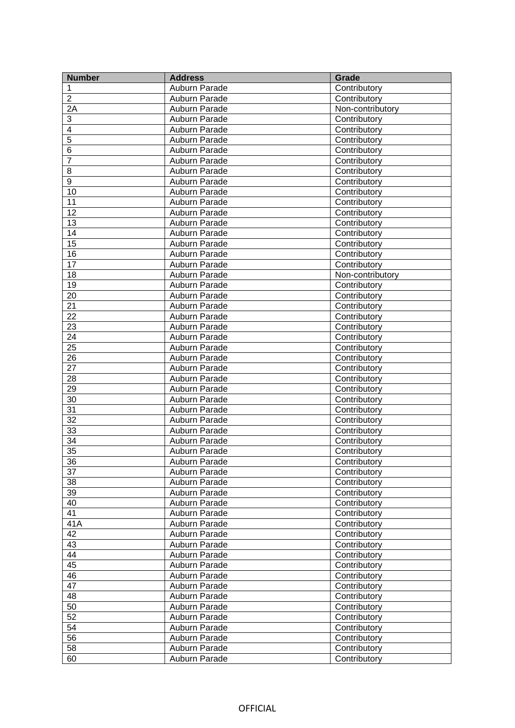| <b>Number</b>           | <b>Address</b> | Grade            |
|-------------------------|----------------|------------------|
| 1                       | Auburn Parade  | Contributory     |
| $\overline{2}$          | Auburn Parade  | Contributory     |
| 2A                      | Auburn Parade  | Non-contributory |
| 3                       | Auburn Parade  | Contributory     |
| $\overline{\mathbf{4}}$ | Auburn Parade  | Contributory     |
| $\overline{5}$          | Auburn Parade  | Contributory     |
| 6                       | Auburn Parade  | Contributory     |
| $\overline{7}$          | Auburn Parade  | Contributory     |
| 8                       | Auburn Parade  | Contributory     |
| 9                       | Auburn Parade  | Contributory     |
| 10                      | Auburn Parade  | Contributory     |
| 11                      | Auburn Parade  | Contributory     |
| $\overline{12}$         | Auburn Parade  | Contributory     |
| 13                      | Auburn Parade  | Contributory     |
| $\overline{14}$         | Auburn Parade  | Contributory     |
| $\overline{15}$         | Auburn Parade  | Contributory     |
| $\overline{16}$         | Auburn Parade  | Contributory     |
| $\overline{17}$         | Auburn Parade  | Contributory     |
| 18                      | Auburn Parade  | Non-contributory |
| 19                      | Auburn Parade  | Contributory     |
| $\overline{20}$         | Auburn Parade  | Contributory     |
| $\overline{21}$         | Auburn Parade  | Contributory     |
| $\overline{22}$         | Auburn Parade  | Contributory     |
| 23                      | Auburn Parade  | Contributory     |
| $\overline{24}$         | Auburn Parade  | Contributory     |
| $\overline{25}$         | Auburn Parade  | Contributory     |
| $\overline{26}$         | Auburn Parade  | Contributory     |
| 27                      | Auburn Parade  | Contributory     |
| 28                      | Auburn Parade  | Contributory     |
| $\overline{29}$         | Auburn Parade  | Contributory     |
| $\overline{30}$         | Auburn Parade  | Contributory     |
| $\overline{31}$         | Auburn Parade  | Contributory     |
| $\overline{32}$         | Auburn Parade  | Contributory     |
| $\overline{33}$         | Auburn Parade  | Contributory     |
| $\overline{34}$         | Auburn Parade  | Contributory     |
| $\overline{35}$         | Auburn Parade  | Contributory     |
| 36                      | Auburn Parade  | Contributory     |
| 37                      | Auburn Parade  | Contributory     |
| 38                      | Auburn Parade  | Contributory     |
| 39                      | Auburn Parade  | Contributory     |
| 40                      | Auburn Parade  | Contributory     |
| 41                      | Auburn Parade  | Contributory     |
| 41A                     | Auburn Parade  | Contributory     |
| 42                      | Auburn Parade  | Contributory     |
| 43                      | Auburn Parade  | Contributory     |
| 44                      | Auburn Parade  | Contributory     |
| 45                      | Auburn Parade  | Contributory     |
| 46                      | Auburn Parade  | Contributory     |
| $\overline{47}$         | Auburn Parade  | Contributory     |
| 48                      | Auburn Parade  | Contributory     |
| 50                      | Auburn Parade  | Contributory     |
| $\overline{52}$         | Auburn Parade  | Contributory     |
| 54                      | Auburn Parade  | Contributory     |
| $\overline{56}$         | Auburn Parade  | Contributory     |
| 58                      | Auburn Parade  | Contributory     |
| 60                      | Auburn Parade  | Contributory     |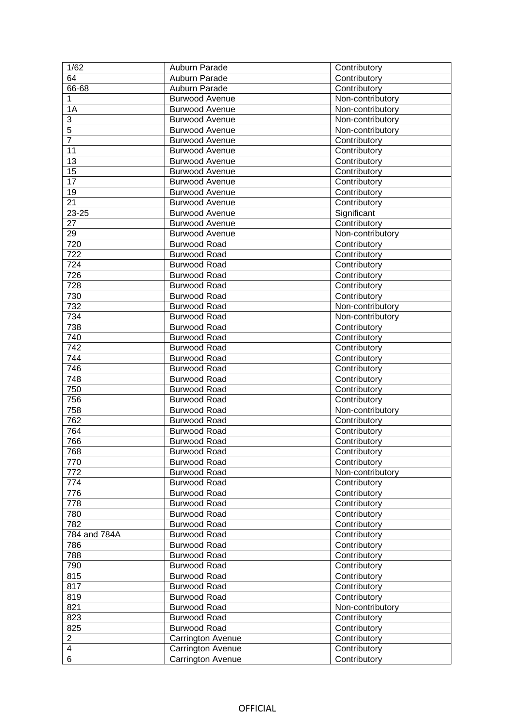| 1/62                         | Auburn Parade                          | Contributory                 |
|------------------------------|----------------------------------------|------------------------------|
| 64                           | Auburn Parade                          | Contributory                 |
| 66-68                        | Auburn Parade                          | Contributory                 |
| $\mathbf{1}$                 | <b>Burwood Avenue</b>                  | Non-contributory             |
| 1A                           | <b>Burwood Avenue</b>                  | Non-contributory             |
| 3                            | <b>Burwood Avenue</b>                  | Non-contributory             |
| $\overline{5}$               | <b>Burwood Avenue</b>                  | Non-contributory             |
| $\overline{7}$               | <b>Burwood Avenue</b>                  | Contributory                 |
| 11                           | <b>Burwood Avenue</b>                  | Contributory                 |
| 13                           | <b>Burwood Avenue</b>                  | Contributory                 |
| $\overline{15}$              | <b>Burwood Avenue</b>                  | Contributory                 |
| 17                           | <b>Burwood Avenue</b>                  | Contributory                 |
| 19                           | <b>Burwood Avenue</b>                  | Contributory                 |
| $\overline{21}$              | <b>Burwood Avenue</b>                  | Contributory                 |
| $23 - 25$                    | <b>Burwood Avenue</b>                  | Significant                  |
| 27                           |                                        |                              |
|                              | <b>Burwood Avenue</b>                  | Contributory                 |
| 29                           | <b>Burwood Avenue</b>                  | Non-contributory             |
| 720                          | <b>Burwood Road</b>                    | Contributory                 |
| 722                          | <b>Burwood Road</b>                    | Contributory                 |
| 724                          | <b>Burwood Road</b>                    | Contributory                 |
| 726                          | <b>Burwood Road</b>                    | Contributory                 |
| 728                          | <b>Burwood Road</b>                    | Contributory                 |
| 730                          | <b>Burwood Road</b>                    | Contributory                 |
| 732                          | <b>Burwood Road</b>                    | Non-contributory             |
| 734                          | <b>Burwood Road</b>                    | Non-contributory             |
| 738                          | <b>Burwood Road</b>                    | Contributory                 |
| 740                          | <b>Burwood Road</b>                    | Contributory                 |
| 742                          | <b>Burwood Road</b>                    | Contributory                 |
| 744                          | <b>Burwood Road</b>                    | Contributory                 |
| 746                          | <b>Burwood Road</b>                    | Contributory                 |
| 748                          | <b>Burwood Road</b>                    | Contributory                 |
| 750                          | <b>Burwood Road</b>                    | Contributory                 |
| 756                          | <b>Burwood Road</b>                    | Contributory                 |
| 758                          | <b>Burwood Road</b>                    | Non-contributory             |
| 762                          | <b>Burwood Road</b>                    | Contributory                 |
| 764                          | <b>Burwood Road</b>                    | Contributory                 |
| 766                          | <b>Burwood Road</b>                    | Contributory                 |
| 768                          | <b>Burwood Road</b>                    | Contributory                 |
| 770                          | <b>Burwood Road</b>                    |                              |
|                              |                                        |                              |
|                              |                                        | Contributory                 |
| 772                          | <b>Burwood Road</b>                    | Non-contributory             |
| 774                          | <b>Burwood Road</b>                    | Contributory                 |
| 776                          | <b>Burwood Road</b>                    | Contributory                 |
| 778                          | <b>Burwood Road</b>                    | Contributory                 |
| 780                          | <b>Burwood Road</b>                    | Contributory                 |
| 782                          | <b>Burwood Road</b>                    | Contributory                 |
| 784 and 784A                 | <b>Burwood Road</b>                    | Contributory                 |
| 786                          | <b>Burwood Road</b>                    | Contributory                 |
| 788                          | <b>Burwood Road</b>                    | Contributory                 |
| 790                          | <b>Burwood Road</b>                    | Contributory                 |
| 815                          | <b>Burwood Road</b>                    | Contributory                 |
| 817                          | <b>Burwood Road</b>                    | Contributory                 |
| 819                          | <b>Burwood Road</b>                    | Contributory                 |
| 821                          | <b>Burwood Road</b>                    | Non-contributory             |
| 823                          | <b>Burwood Road</b>                    | Contributory                 |
| 825                          | <b>Burwood Road</b>                    | Contributory                 |
| $\overline{\mathbf{c}}$      | <b>Carrington Avenue</b>               | Contributory                 |
| $\overline{\mathbf{4}}$<br>6 | Carrington Avenue<br>Carrington Avenue | Contributory<br>Contributory |